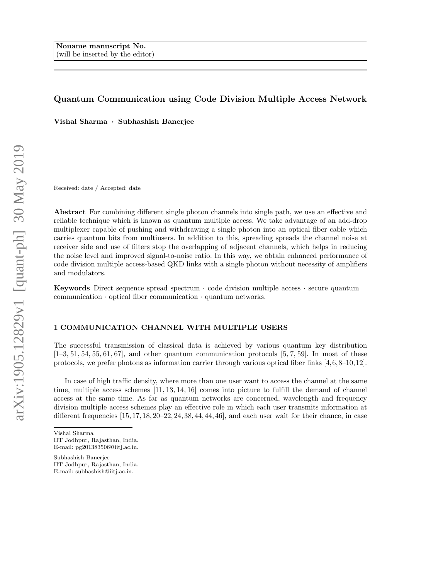# Quantum Communication using Code Division Multiple Access Network

Vishal Sharma · Subhashish Banerjee

Received: date / Accepted: date

Abstract For combining different single photon channels into single path, we use an effective and reliable technique which is known as quantum multiple access. We take advantage of an add-drop multiplexer capable of pushing and withdrawing a single photon into an optical fiber cable which carries quantum bits from multiusers. In addition to this, spreading spreads the channel noise at receiver side and use of filters stop the overlapping of adjacent channels, which helps in reducing the noise level and improved signal-to-noise ratio. In this way, we obtain enhanced performance of code division multiple access-based QKD links with a single photon without necessity of amplifiers and modulators.

**Keywords** Direct sequence spread spectrum  $\cdot$  code division multiple access  $\cdot$  secure quantum communication · optical fiber communication · quantum networks.

### 1 COMMUNICATION CHANNEL WITH MULTIPLE USERS

The successful transmission of classical data is achieved by various quantum key distribution  $[1-3, 51, 54, 55, 61, 67]$ , and other quantum communication protocols  $[5, 7, 59]$ . In most of these protocols, we prefer photons as information carrier through various optical fiber links [4,6,8–10,12].

In case of high traffic density, where more than one user want to access the channel at the same time, multiple access schemes [11, 13, 14, 16] comes into picture to fulfill the demand of channel access at the same time. As far as quantum networks are concerned, wavelength and frequency division multiple access schemes play an effective role in which each user transmits information at different frequencies  $[15, 17, 18, 20-22, 24, 38, 44, 44, 46]$ , and each user wait for their chance, in case

Subhashish Banerjee IIT Jodhpur, Rajasthan, India. E-mail: subhashish@iitj.ac.in.

Vishal Sharma IIT Jodhpur, Rajasthan, India. E-mail: pg201383506@iitj.ac.in.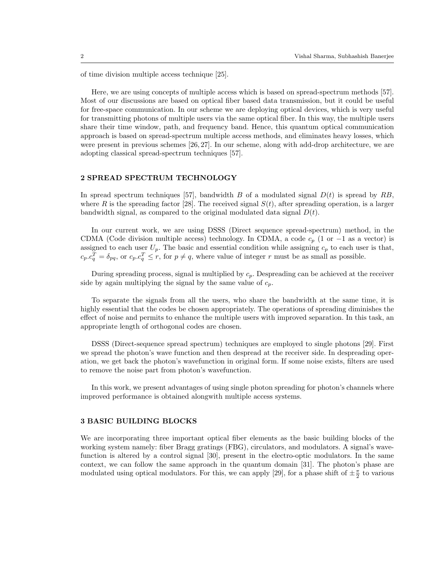of time division multiple access technique [25].

Here, we are using concepts of multiple access which is based on spread-spectrum methods [57]. Most of our discussions are based on optical fiber based data transmission, but it could be useful for free-space communication. In our scheme we are deploying optical devices, which is very useful for transmitting photons of multiple users via the same optical fiber. In this way, the multiple users share their time window, path, and frequency band. Hence, this quantum optical communication approach is based on spread-spectrum multiple access methods, and eliminates heavy losses, which were present in previous schemes [26, 27]. In our scheme, along with add-drop architecture, we are adopting classical spread-spectrum techniques [57].

# 2 SPREAD SPECTRUM TECHNOLOGY

In spread spectrum techniques [57], bandwidth B of a modulated signal  $D(t)$  is spread by RB, where R is the spreading factor [28]. The received signal  $S(t)$ , after spreading operation, is a larger bandwidth signal, as compared to the original modulated data signal  $D(t)$ .

In our current work, we are using DSSS (Direct sequence spread-spectrum) method, in the CDMA (Code division multiple access) technology. In CDMA, a code  $c_p$  (1 or  $-1$  as a vector) is assigned to each user  $U_p$ . The basic and essential condition while assigning  $c_p$  to each user is that,  $c_p.c_q^T = \delta_{pq}$ , or  $c_p.c_q^T \leq r$ , for  $p \neq q$ , where value of integer r must be as small as possible.

During spreading process, signal is multiplied by  $c_p$ . Despreading can be achieved at the receiver side by again multiplying the signal by the same value of  $c_p$ .

To separate the signals from all the users, who share the bandwidth at the same time, it is highly essential that the codes be chosen appropriately. The operations of spreading diminishes the effect of noise and permits to enhance the multiple users with improved separation. In this task, an appropriate length of orthogonal codes are chosen.

DSSS (Direct-sequence spread spectrum) techniques are employed to single photons [29]. First we spread the photon's wave function and then despread at the receiver side. In despreading operation, we get back the photon's wavefunction in original form. If some noise exists, filters are used to remove the noise part from photon's wavefunction.

In this work, we present advantages of using single photon spreading for photon's channels where improved performance is obtained alongwith multiple access systems.

#### 3 BASIC BUILDING BLOCKS

We are incorporating three important optical fiber elements as the basic building blocks of the working system namely: fiber Bragg gratings (FBG), circulators, and modulators. A signal's wavefunction is altered by a control signal [30], present in the electro-optic modulators. In the same context, we can follow the same approach in the quantum domain [31]. The photon's phase are modulated using optical modulators. For this, we can apply [29], for a phase shift of  $\pm \frac{\pi}{2}$  to various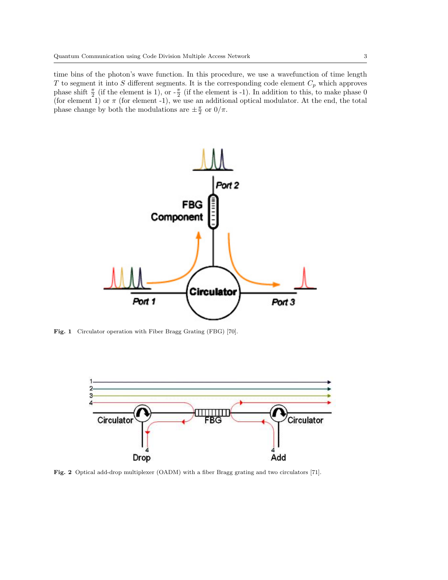time bins of the photon's wave function. In this procedure, we use a wavefunction of time length T to segment it into S different segments. It is the corresponding code element  $C_p$  which approves phase shift  $\frac{\pi}{2}$  (if the element is 1), or  $-\frac{\pi}{2}$  (if the element is -1). In addition to this, to make phase 0 (for element 1) or  $\pi$  (for element -1), we use an additional optical modulator. At the end, the total phase change by both the modulations are  $\pm \frac{\pi}{2}$  or  $0/\pi$ .



Fig. 1 Circulator operation with Fiber Bragg Grating (FBG) [70].



Fig. 2 Optical add-drop multiplexer (OADM) with a fiber Bragg grating and two circulators [71].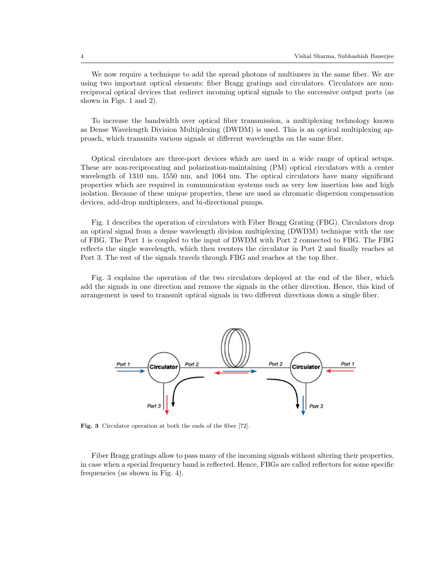We now require a technique to add the spread photons of multiusers in the same fiber. We are using two important optical elements: fiber Bragg gratings and circulators. Circulators are nonreciprocal optical devices that redirect incoming optical signals to the successive output ports (as shown in Figs. 1 and 2).

To increase the bandwidth over optical fiber transmission, a multiplexing technology known as Dense Wavelength Division Multiplexing (DWDM) is used. This is an optical multiplexing approach, which transmits various signals at different wavelengths on the same fiber.

Optical circulators are three-port devices which are used in a wide range of optical setups. These are non-reciprocating and polarization-maintaining (PM) optical circulators with a center wavelength of 1310 nm, 1550 nm, and 1064 nm. The optical circulators have many significant properties which are required in communication systems such as very low insertion loss and high isolation. Because of these unique properties, these are used as chromatic dispersion compensation devices, add-drop multiplexers, and bi-directional pumps.

Fig. 1 describes the operation of circulators with Fiber Bragg Grating (FBG). Circulators drop an optical signal from a dense wavelength division multiplexing (DWDM) technique with the use of FBG. The Port 1 is coupled to the input of DWDM with Port 2 connected to FBG. The FBG reflects the single wavelength, which then reenters the circulator in Port 2 and finally reaches at Port 3. The rest of the signals travels through FBG and reaches at the top fiber.

Fig. 3 explains the operation of the two circulators deployed at the end of the fiber, which add the signals in one direction and remove the signals in the other direction. Hence, this kind of arrangement is used to transmit optical signals in two different directions down a single fiber.



Fig. 3 Circulator operation at both the ends of the fiber [72].

Fiber Bragg gratings allow to pass many of the incoming signals without altering their properties, in case when a special frequency band is reflected. Hence, FBGs are called reflectors for some specific frequencies (as shown in Fig. 4).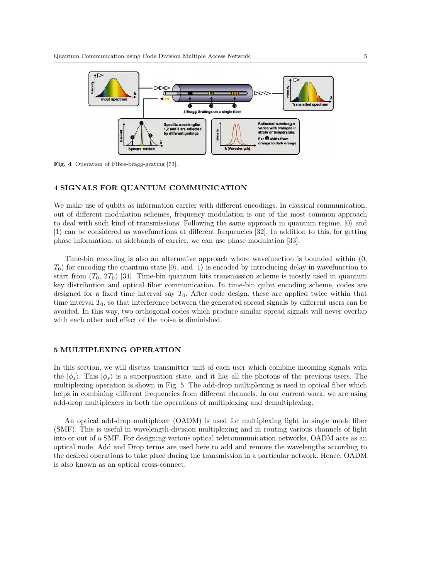

Fig. 4 Operation of Fibre-bragg-grating [73].

# 4 SIGNALS FOR QUANTUM COMMUNICATION

We make use of qubits as information carrier with different encodings. In classical communication, out of different modulation schemes, frequency modulation is one of the most common approach to deal with such kind of transmissions. Following the same approach in quantum regime,  $|0\rangle$  and  $|1\rangle$  can be considered as wavefunctions at different frequencies [32]. In addition to this, for getting phase information, at sidebands of carrier, we can use phase modulation [33].

Time-bin encoding is also an alternative approach where wavefunction is bounded within (0,  $T_0$ ) for encoding the quantum state  $|0\rangle$ , and  $|1\rangle$  is encoded by introducing delay in wavefunction to start from  $(T_0, 2T_0)$  [34]. Time-bin quantum bits transmission scheme is mostly used in quantum key distribution and optical fiber communication. In time-bin qubit encoding scheme, codes are designed for a fixed time interval say  $T_0$ . After code design, these are applied twice within that time interval  $T_0$ , so that interference between the generated spread signals by different users can be avoided. In this way, two orthogonal codes which produce similar spread signals will never overlap with each other and effect of the noise is diminished.

# 5 MULTIPLEXING OPERATION

In this section, we will discuss transmitter unit of each user which combine incoming signals with the  $|\phi_s\rangle$ . This  $|\phi_s\rangle$  is a superposition state, and it has all the photons of the previous users. The multiplexing operation is shown in Fig. 5. The add-drop multiplexing is used in optical fiber which helps in combining different frequencies from different channels. In our current work, we are using add-drop multiplexers in both the operations of multiplexing and demultiplexing.

An optical add-drop multiplexer (OADM) is used for multiplexing light in single mode fiber (SMF). This is useful in wavelength-division multiplexing and in routing various channels of light into or out of a SMF. For designing various optical telecommunication networks, OADM acts as an optical node. Add and Drop terms are used here to add and remove the wavelengths according to the desired operations to take place during the transmission in a particular network. Hence, OADM is also known as an optical cross-connect.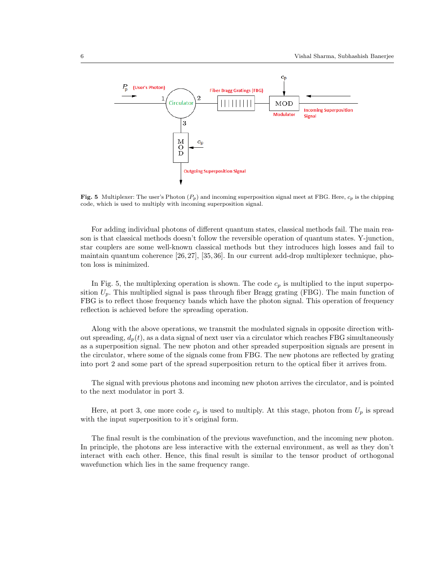

Fig. 5 Multiplexer: The user's Photon  $(P_p)$  and incoming superposition signal meet at FBG. Here,  $c_p$  is the chipping code, which is used to multiply with incoming superposition signal.

For adding individual photons of different quantum states, classical methods fail. The main reason is that classical methods doesn't follow the reversible operation of quantum states. Y-junction, star couplers are some well-known classical methods but they introduces high losses and fail to maintain quantum coherence [26, 27], [35, 36]. In our current add-drop multiplexer technique, photon loss is minimized.

In Fig. 5, the multiplexing operation is shown. The code  $c_p$  is multiplied to the input superposition  $U_p$ . This multiplied signal is pass through fiber Bragg grating (FBG). The main function of FBG is to reflect those frequency bands which have the photon signal. This operation of frequency reflection is achieved before the spreading operation.

Along with the above operations, we transmit the modulated signals in opposite direction without spreading,  $d_p(t)$ , as a data signal of next user via a circulator which reaches FBG simultaneously as a superposition signal. The new photon and other spreaded superposition signals are present in the circulator, where some of the signals come from FBG. The new photons are reflected by grating into port 2 and some part of the spread superposition return to the optical fiber it arrives from.

The signal with previous photons and incoming new photon arrives the circulator, and is pointed to the next modulator in port 3.

Here, at port 3, one more code  $c_p$  is used to multiply. At this stage, photon from  $U_p$  is spread with the input superposition to it's original form.

The final result is the combination of the previous wavefunction, and the incoming new photon. In principle, the photons are less interactive with the external environment, as well as they don't interact with each other. Hence, this final result is similar to the tensor product of orthogonal wavefunction which lies in the same frequency range.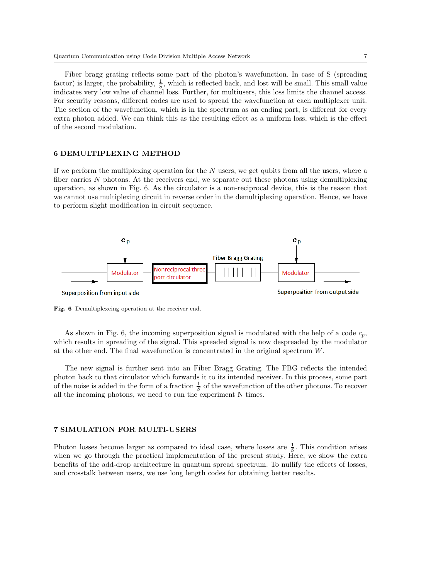Fiber bragg grating reflects some part of the photon's wavefunction. In case of S (spreading factor) is larger, the probability,  $\frac{1}{S}$ , which is reflected back, and lost will be small. This small value indicates very low value of channel loss. Further, for multiusers, this loss limits the channel access. For security reasons, different codes are used to spread the wavefunction at each multiplexer unit. The section of the wavefunction, which is in the spectrum as an ending part, is different for every extra photon added. We can think this as the resulting effect as a uniform loss, which is the effect of the second modulation.

# 6 DEMULTIPLEXING METHOD

If we perform the multiplexing operation for the  $N$  users, we get qubits from all the users, where a fiber carries  $N$  photons. At the receivers end, we separate out these photons using demultiplexing operation, as shown in Fig. 6. As the circulator is a non-reciprocal device, this is the reason that we cannot use multiplexing circuit in reverse order in the demultiplexing operation. Hence, we have to perform slight modification in circuit sequence.



Fig. 6 Demultiplexeing operation at the receiver end.

As shown in Fig. 6, the incoming superposition signal is modulated with the help of a code  $c_p$ , which results in spreading of the signal. This spreaded signal is now despreaded by the modulator at the other end. The final wavefunction is concentrated in the original spectrum W.

The new signal is further sent into an Fiber Bragg Grating. The FBG reflects the intended photon back to that circulator which forwards it to its intended receiver. In this process, some part of the noise is added in the form of a fraction  $\frac{1}{S}$  of the wavefunction of the other photons. To recover all the incoming photons, we need to run the experiment N times.

# 7 SIMULATION FOR MULTI-USERS

Photon losses become larger as compared to ideal case, where losses are  $\frac{1}{S}$ . This condition arises when we go through the practical implementation of the present study. Here, we show the extra benefits of the add-drop architecture in quantum spread spectrum. To nullify the effects of losses, and crosstalk between users, we use long length codes for obtaining better results.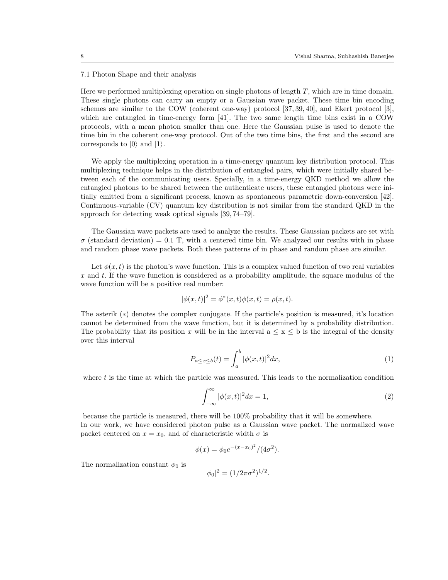#### 7.1 Photon Shape and their analysis

Here we performed multiplexing operation on single photons of length  $T$ , which are in time domain. These single photons can carry an empty or a Gaussian wave packet. These time bin encoding schemes are similar to the COW (coherent one-way) protocol [37, 39, 40], and Ekert protocol [3], which are entangled in time-energy form [41]. The two same length time bins exist in a COW protocols, with a mean photon smaller than one. Here the Gaussian pulse is used to denote the time bin in the coherent one-way protocol. Out of the two time bins, the first and the second are corresponds to  $|0\rangle$  and  $|1\rangle$ .

We apply the multiplexing operation in a time-energy quantum key distribution protocol. This multiplexing technique helps in the distribution of entangled pairs, which were initially shared between each of the communicating users. Specially, in a time-energy QKD method we allow the entangled photons to be shared between the authenticate users, these entangled photons were initially emitted from a significant process, known as spontaneous parametric down-conversion [42]. Continuous-variable (CV) quantum key distribution is not similar from the standard QKD in the approach for detecting weak optical signals [39, 74–79].

The Gaussian wave packets are used to analyze the results. These Gaussian packets are set with  $\sigma$  (standard deviation) = 0.1 T, with a centered time bin. We analyzed our results with in phase and random phase wave packets. Both these patterns of in phase and random phase are similar.

Let  $\phi(x, t)$  is the photon's wave function. This is a complex valued function of two real variables x and t. If the wave function is considered as a probability amplitude, the square modulus of the wave function will be a positive real number:

$$
|\phi(x,t)|^2 = \phi^*(x,t)\phi(x,t) = \rho(x,t).
$$

The asterik (∗) denotes the complex conjugate. If the particle's position is measured, it's location cannot be determined from the wave function, but it is determined by a probability distribution. The probability that its position x will be in the interval  $a \le x \le b$  is the integral of the density over this interval

$$
P_{a \le x \le b}(t) = \int_{a}^{b} |\phi(x,t)|^2 dx,\tag{1}
$$

where  $t$  is the time at which the particle was measured. This leads to the normalization condition

$$
\int_{-\infty}^{\infty} |\phi(x,t)|^2 dx = 1,
$$
\n(2)

because the particle is measured, there will be 100% probability that it will be somewhere. In our work, we have considered photon pulse as a Gaussian wave packet. The normalized wave packet centered on  $x = x_0$ , and of characteristic width  $\sigma$  is

$$
\phi(x) = \phi_0 e^{-(x-x_0)^2} / (4\sigma^2).
$$

The normalization constant  $\phi_0$  is

$$
|\phi_0|^2 = (1/2\pi\sigma^2)^{1/2}.
$$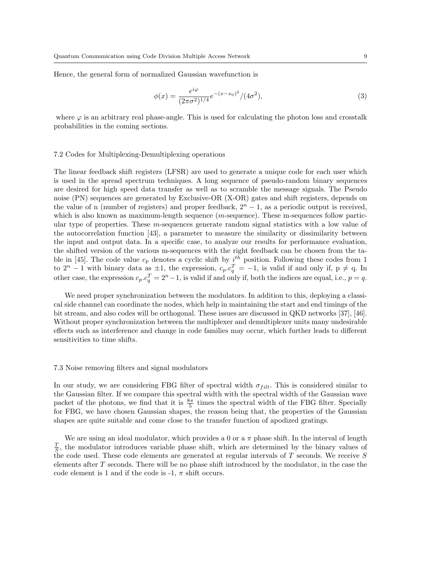Hence, the general form of normalized Gaussian wavefunction is

$$
\phi(x) = \frac{e^{i\varphi}}{(2\pi\sigma^2)^{1/4}} e^{-(x-x_0)^2} / (4\sigma^2),\tag{3}
$$

where  $\varphi$  is an arbitrary real phase-angle. This is used for calculating the photon loss and crosstalk probabilities in the coming sections.

### 7.2 Codes for Multiplexing-Demultiplexing operations

The linear feedback shift registers (LFSR) are used to generate a unique code for each user which is used in the spread spectrum techniques. A long sequence of pseudo-random binary sequences are desired for high speed data transfer as well as to scramble the message signals. The Pseudo noise (PN) sequences are generated by Exclusive-OR (X-OR) gates and shift registers, depends on the value of n (number of registers) and proper feedback,  $2<sup>n</sup> - 1$ , as a periodic output is received, which is also known as maximum-length sequence  $(m$ -sequence). These m-sequences follow particular type of properties. These  $m$ -sequences generate random signal statistics with a low value of the autocorrelation function [43], a parameter to measure the similarity or dissimilarity between the input and output data. In a specific case, to analyze our results for performance evaluation, the shifted version of the various m-sequences with the right feedback can be chosen from the table in [45]. The code value  $c_p$  denotes a cyclic shift by  $i^{th}$  position. Following these codes from 1 to  $2^{n} - 1$  with binary data as  $\pm 1$ , the expression,  $c_p.c_q^T = -1$ , is valid if and only if,  $p \neq q$ . In other case, the expression  $c_p.c_q^T = 2^n - 1$ , is valid if and only if, both the indices are equal, i.e.,  $p = q$ .

We need proper synchronization between the modulators. In addition to this, deploying a classical side channel can coordinate the nodes, which help in maintaining the start and end timings of the bit stream, and also codes will be orthogonal. These issues are discussed in QKD networks [37], [46]. Without proper synchronization between the multiplexer and demultiplexer units many undesirable effects such as interference and change in code families may occur, which further leads to different sensitivities to time shifts.

#### 7.3 Noise removing filters and signal modulators

In our study, we are considering FBG filter of spectral width  $\sigma_{filt}$ . This is considered similar to the Gaussian filter. If we compare this spectral width with the spectral width of the Gaussian wave packet of the photons, we find that it is  $\frac{8\pi}{5}$  times the spectral width of the FBG filter. Specially for FBG, we have chosen Gaussian shapes, the reason being that, the properties of the Gaussian shapes are quite suitable and come close to the transfer function of apodized gratings.

We are using an ideal modulator, which provides a 0 or a  $\pi$  phase shift. In the interval of length  $\frac{T}{S}$ , the modulator introduces variable phase shift, which are determined by the binary values of the code used. These code elements are generated at regular intervals of  $T$  seconds. We receive  $S$ elements after  $T$  seconds. There will be no phase shift introduced by the modulator, in the case the code element is 1 and if the code is  $-1$ ,  $\pi$  shift occurs.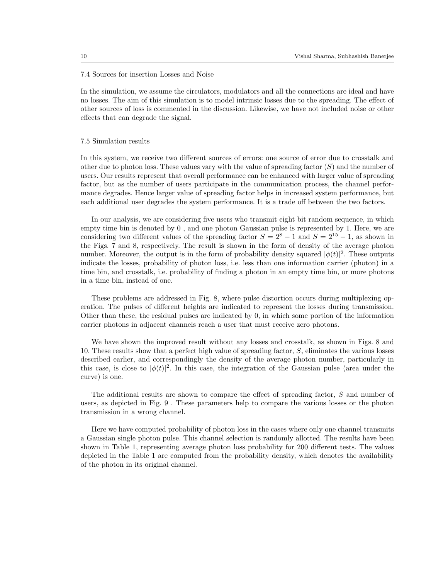#### 7.4 Sources for insertion Losses and Noise

In the simulation, we assume the circulators, modulators and all the connections are ideal and have no losses. The aim of this simulation is to model intrinsic losses due to the spreading. The effect of other sources of loss is commented in the discussion. Likewise, we have not included noise or other effects that can degrade the signal.

#### 7.5 Simulation results

In this system, we receive two different sources of errors: one source of error due to crosstalk and other due to photon loss. These values vary with the value of spreading factor  $(S)$  and the number of users. Our results represent that overall performance can be enhanced with larger value of spreading factor, but as the number of users participate in the communication process, the channel performance degrades. Hence larger value of spreading factor helps in increased system performance, but each additional user degrades the system performance. It is a trade off between the two factors.

In our analysis, we are considering five users who transmit eight bit random sequence, in which empty time bin is denoted by 0 , and one photon Gaussian pulse is represented by 1. Here, we are considering two different values of the spreading factor  $S = 2^8 - 1$  and  $S = 2^{15} - 1$ , as shown in the Figs. 7 and 8, respectively. The result is shown in the form of density of the average photon number. Moreover, the output is in the form of probability density squared  $|\phi(t)|^2$ . These outputs indicate the losses, probability of photon loss, i.e. less than one information carrier (photon) in a time bin, and crosstalk, i.e. probability of finding a photon in an empty time bin, or more photons in a time bin, instead of one.

These problems are addressed in Fig. 8, where pulse distortion occurs during multiplexing operation. The pulses of different heights are indicated to represent the losses during transmission. Other than these, the residual pulses are indicated by 0, in which some portion of the information carrier photons in adjacent channels reach a user that must receive zero photons.

We have shown the improved result without any losses and crosstalk, as shown in Figs. 8 and 10. These results show that a perfect high value of spreading factor, S, eliminates the various losses described earlier, and correspondingly the density of the average photon number, particularly in this case, is close to  $|\phi(t)|^2$ . In this case, the integration of the Gaussian pulse (area under the curve) is one.

The additional results are shown to compare the effect of spreading factor, S and number of users, as depicted in Fig. 9 . These parameters help to compare the various losses or the photon transmission in a wrong channel.

Here we have computed probability of photon loss in the cases where only one channel transmits a Gaussian single photon pulse. This channel selection is randomly allotted. The results have been shown in Table 1, representing average photon loss probability for 200 different tests. The values depicted in the Table 1 are computed from the probability density, which denotes the availability of the photon in its original channel.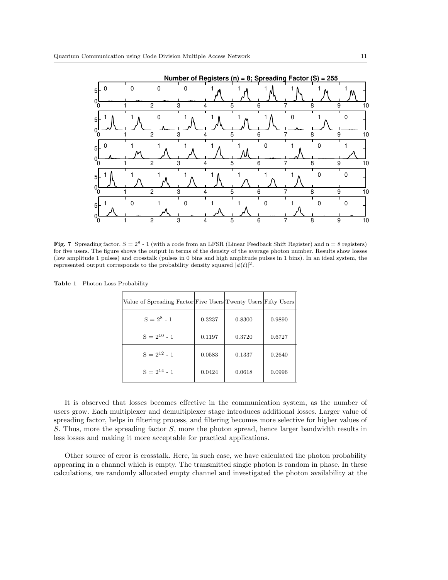

Fig. 7 Spreading factor,  $S = 2^8 - 1$  (with a code from an LFSR (Linear Feedback Shift Register) and  $n = 8$  registers) for five users. The figure shows the output in terms of the density of the average photon number. Results show losses (low amplitude 1 pulses) and crosstalk (pulses in 0 bins and high amplitude pulses in 1 bins). In an ideal system, the represented output corresponds to the probability density squared  $|\phi(t)|^2$ .

| Value of Spreading Factor Five Users Twenty Users Fifty Users |        |        |        |
|---------------------------------------------------------------|--------|--------|--------|
| $S = 2^8 - 1$                                                 | 0.3237 | 0.8300 | 0.9890 |
| $S = 2^{10} - 1$                                              | 0.1197 | 0.3720 | 0.6727 |
| $S = 2^{12} - 1$                                              | 0.0583 | 0.1337 | 0.2640 |
| $S = 2^{14} - 1$                                              | 0.0424 | 0.0618 | 0.0996 |

Table 1 Photon Loss Probability

It is observed that losses becomes effective in the communication system, as the number of users grow. Each multiplexer and demultiplexer stage introduces additional losses. Larger value of spreading factor, helps in filtering process, and filtering becomes more selective for higher values of S. Thus, more the spreading factor  $S$ , more the photon spread, hence larger bandwidth results in less losses and making it more acceptable for practical applications.

Other source of error is crosstalk. Here, in such case, we have calculated the photon probability appearing in a channel which is empty. The transmitted single photon is random in phase. In these calculations, we randomly allocated empty channel and investigated the photon availability at the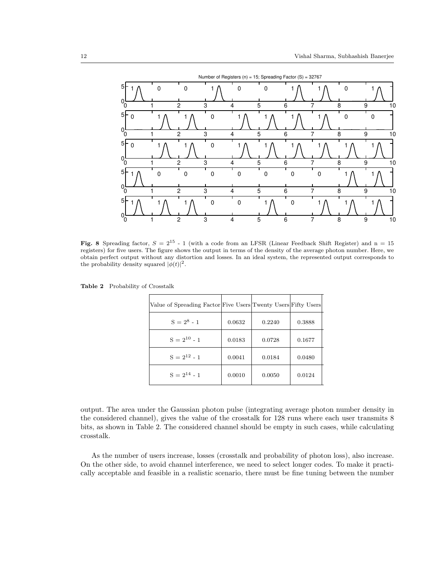

Fig. 8 Spreading factor,  $S = 2^{15}$  - 1 (with a code from an LFSR (Linear Feedback Shift Register) and n = 15 registers) for five users. The figure shows the output in terms of the density of the average photon number. Here, we obtain perfect output without any distortion and losses. In an ideal system, the represented output corresponds to the probability density squared  $|\phi(t)|^2$ .

| Value of Spreading Factor Five Users Twenty Users Fifty Users |        |        |        |
|---------------------------------------------------------------|--------|--------|--------|
| $S = 2^8 - 1$                                                 | 0.0632 | 0.2240 | 0.3888 |
| $S = 2^{10} - 1$                                              | 0.0183 | 0.0728 | 0.1677 |
| $S = 2^{12} - 1$                                              | 0.0041 | 0.0184 | 0.0480 |
| $S = 2^{14} - 1$                                              | 0.0010 | 0.0050 | 0.0124 |

Table 2 Probability of Crosstalk

output. The area under the Gaussian photon pulse (integrating average photon number density in the considered channel), gives the value of the crosstalk for 128 runs where each user transmits 8 bits, as shown in Table 2. The considered channel should be empty in such cases, while calculating crosstalk.

As the number of users increase, losses (crosstalk and probability of photon loss), also increase. On the other side, to avoid channel interference, we need to select longer codes. To make it practically acceptable and feasible in a realistic scenario, there must be fine tuning between the number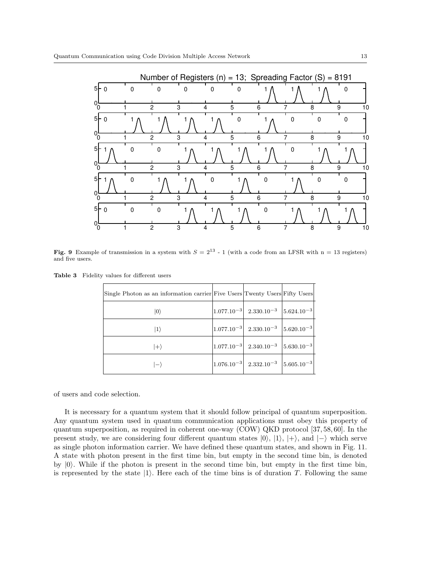

Fig. 9 Example of transmission in a system with  $S = 2^{13}$  - 1 (with a code from an LFSR with n = 13 registers) and five users.

Table 3 Fidelity values for different users

| Single Photon as an information carrier Five Users Twenty Users Fifty Users |                                                                                  |  |
|-----------------------------------------------------------------------------|----------------------------------------------------------------------------------|--|
| $\ket{0}$                                                                   | $\left 1.077.10^{-3}\right $ 2.330.10 <sup>-3</sup> $\left 5.624.10^{-3}\right $ |  |
| $ 1\rangle$                                                                 | $\left 1.077.10^{-3}\right $ 2.330.10 <sup>-3</sup> $\left 5.620.10^{-3}\right $ |  |
| $ +\rangle$                                                                 | $\begin{vmatrix} 1.077.10^{-3} & 2.340.10^{-3} & 5.630.10^{-3} \end{vmatrix}$    |  |
|                                                                             | $\left 1.076.10^{-3}\right $ 2.332.10 <sup>-3</sup> $\left 5.605.10^{-3}\right $ |  |

of users and code selection.

It is necessary for a quantum system that it should follow principal of quantum superposition. Any quantum system used in quantum communication applications must obey this property of quantum superposition, as required in coherent one-way (COW) QKD protocol [37, 58, 60]. In the present study, we are considering four different quantum states  $|0\rangle$ ,  $|1\rangle$ ,  $|+\rangle$ , and  $|-\rangle$  which serve as single photon information carrier. We have defined these quantum states, and shown in Fig. 11. A state with photon present in the first time bin, but empty in the second time bin, is denoted by  $|0\rangle$ . While if the photon is present in the second time bin, but empty in the first time bin, is represented by the state  $|1\rangle$ . Here each of the time bins is of duration T. Following the same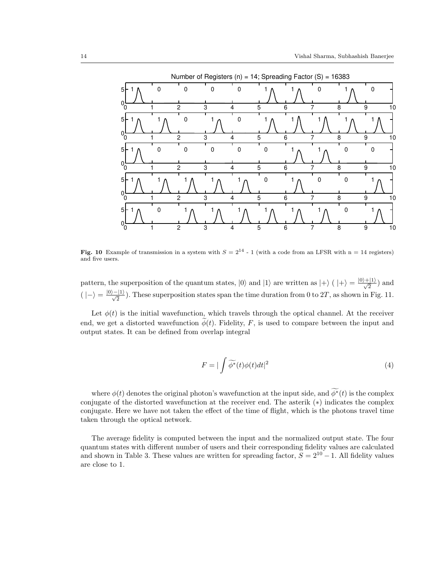

Fig. 10 Example of transmission in a system with  $S = 2^{14}$  - 1 (with a code from an LFSR with n = 14 registers) and five users.

pattern, the superposition of the quantum states,  $|0\rangle$  and  $|1\rangle$  are written as  $|+\rangle$  ( $|+\rangle = \frac{|0\rangle + |1\rangle}{\sqrt{2}}$ ) and  $(|-\rangle = \frac{|0\rangle - |1\rangle}{\sqrt{2}})$ . These superposition states span the time duration from 0 to 2T, as shown in Fig. 11.

Let  $\phi(t)$  is the initial wavefunction, which travels through the optical channel. At the receiver end, we get a distorted wavefunction  $\phi(t)$ . Fidelity, F, is used to compare between the input and output states. It can be defined from overlap integral

$$
F = |\int \widetilde{\phi^*}(t)\phi(t)dt|^2
$$
\n(4)

where  $\phi(t)$  denotes the original photon's wavefunction at the input side, and  $\widetilde{\phi^*}(t)$  is the complex conjugate of the distorted wavefunction at the receiver end. The asterik (∗) indicates the complex conjugate. Here we have not taken the effect of the time of flight, which is the photons travel time taken through the optical network.

The average fidelity is computed between the input and the normalized output state. The four quantum states with different number of users and their corresponding fidelity values are calculated and shown in Table 3. These values are written for spreading factor,  $S = 2^{10} - 1$ . All fidelity values are close to 1.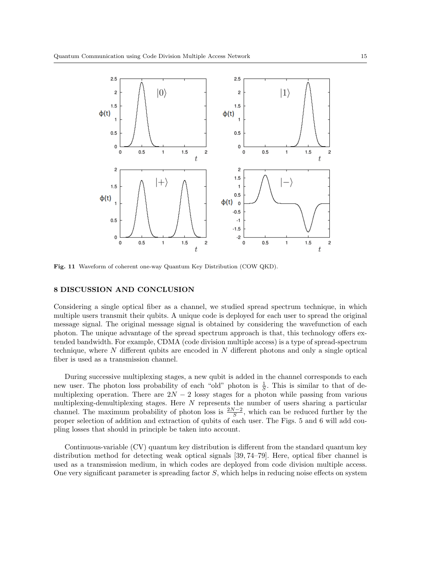

Fig. 11 Waveform of coherent one-way Quantum Key Distribution (COW QKD).

# 8 DISCUSSION AND CONCLUSION

Considering a single optical fiber as a channel, we studied spread spectrum technique, in which multiple users transmit their qubits. A unique code is deployed for each user to spread the original message signal. The original message signal is obtained by considering the wavefunction of each photon. The unique advantage of the spread spectrum approach is that, this technology offers extended bandwidth. For example, CDMA (code division multiple access) is a type of spread-spectrum technique, where N different qubits are encoded in N different photons and only a single optical fiber is used as a transmission channel.

During successive multiplexing stages, a new qubit is added in the channel corresponds to each new user. The photon loss probability of each "old" photon is  $\frac{1}{S}$ . This is similar to that of demultiplexing operation. There are  $2N-2$  lossy stages for a photon while passing from various multiplexing-demultiplexing stages. Here  $N$  represents the number of users sharing a particular channel. The maximum probability of photon loss is  $\frac{2N-2}{S}$ , which can be reduced further by the proper selection of addition and extraction of qubits of each user. The Figs. 5 and 6 will add coupling losses that should in principle be taken into account.

Continuous-variable (CV) quantum key distribution is different from the standard quantum key distribution method for detecting weak optical signals [39, 74–79]. Here, optical fiber channel is used as a transmission medium, in which codes are deployed from code division multiple access. One very significant parameter is spreading factor  $S$ , which helps in reducing noise effects on system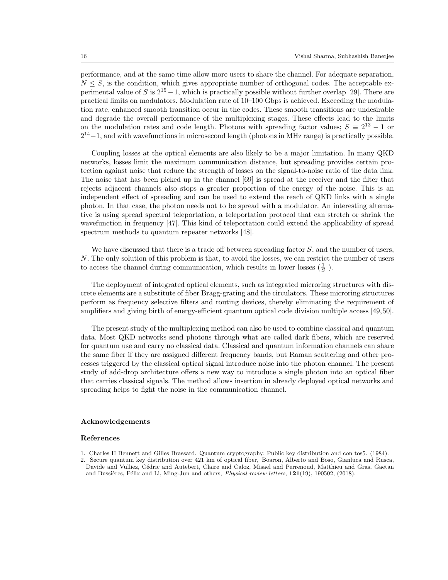performance, and at the same time allow more users to share the channel. For adequate separation,  $N \leq S$ , is the condition, which gives appropriate number of orthogonal codes. The acceptable experimental value of S is  $2^{15} - 1$ , which is practically possible without further overlap [29]. There are practical limits on modulators. Modulation rate of 10–100 Gbps is achieved. Exceeding the modulation rate, enhanced smooth transition occur in the codes. These smooth transitions are undesirable and degrade the overall performance of the multiplexing stages. These effects lead to the limits on the modulation rates and code length. Photons with spreading factor values;  $S = 2^{13} - 1$  or  $2^{14}-1$ , and with wavefunctions in microsecond length (photons in MHz range) is practically possible.

Coupling losses at the optical elements are also likely to be a major limitation. In many QKD networks, losses limit the maximum communication distance, but spreading provides certain protection against noise that reduce the strength of losses on the signal-to-noise ratio of the data link. The noise that has been picked up in the channel [69] is spread at the receiver and the filter that rejects adjacent channels also stops a greater proportion of the energy of the noise. This is an independent effect of spreading and can be used to extend the reach of QKD links with a single photon. In that case, the photon needs not to be spread with a modulator. An interesting alternative is using spread spectral teleportation, a teleportation protocol that can stretch or shrink the wavefunction in frequency [47]. This kind of teleportation could extend the applicability of spread spectrum methods to quantum repeater networks [48].

We have discussed that there is a trade off between spreading factor  $S$ , and the number of users, N. The only solution of this problem is that, to avoid the losses, we can restrict the number of users to access the channel during communication, which results in lower losses  $(\frac{1}{S})$ .

The deployment of integrated optical elements, such as integrated microring structures with discrete elements are a substitute of fiber Bragg-grating and the circulators. These microring structures perform as frequency selective filters and routing devices, thereby eliminating the requirement of amplifiers and giving birth of energy-efficient quantum optical code division multiple access [49,50].

The present study of the multiplexing method can also be used to combine classical and quantum data. Most QKD networks send photons through what are called dark fibers, which are reserved for quantum use and carry no classical data. Classical and quantum information channels can share the same fiber if they are assigned different frequency bands, but Raman scattering and other processes triggered by the classical optical signal introduce noise into the photon channel. The present study of add-drop architecture offers a new way to introduce a single photon into an optical fiber that carries classical signals. The method allows insertion in already deployed optical networks and spreading helps to fight the noise in the communication channel.

# Acknowledgements

#### References

- 1. Charles H Bennett and Gilles Brassard. Quantum cryptography: Public key distribution and con tos5. (1984).
- 2. Secure quantum key distribution over 421 km of optical fiber, Boaron, Alberto and Boso, Gianluca and Rusca, Davide and Vulliez, Cédric and Autebert, Claire and Caloz, Misael and Perrenoud, Matthieu and Gras, Gaëtan and Bussières, Félix and Li, Ming-Jun and others, *Physical review letters*, **121**(19), 190502, (2018).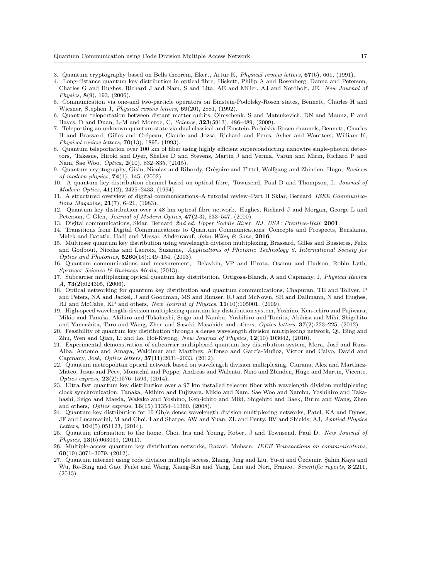- 3. Quantum cryptography based on Bells theorem, Ekert, Artur K, *Physical review letters*, 67(6), 661, (1991).
- 4. Long-distance quantum key distribution in optical fibre, Hiskett, Philip A and Rosenberg, Danna and Peterson, Charles G and Hughes, Richard J and Nam, S and Lita, AE and Miller, AJ and Nordholt, JE, *New Journal of Physics*, 8(9), 193, (2006).
- 5. Communication via one-and two-particle operators on Einstein-Podolsky-Rosen states, Bennett, Charles H and Wiesner, Stephen J, *Physical review letters*, 69(20), 2881, (1992).
- 6. Quantum teleportation between distant matter qubits, Olmschenk, S and Matsukevich, DN and Maunz, P and Hayes, D and Duan, L-M and Monroe, C, *Science*, 323(5913), 486–489, (2009).
- 7. Teleporting an unknown quantum state via dual classical and Einstein-Podolsky-Rosen channels, Bennett, Charles H and Brassard, Gilles and Crépeau, Claude and Jozsa, Richard and Peres, Asher and Wootters, William K, *Physical review letters*, 70(13), 1895, (1993).
- 8. Quantum teleportation over 100 km of fiber using highly efficient superconducting nanowire single-photon detectors, Takesue, Hiroki and Dyer, Shellee D and Stevens, Martin J and Verma, Varun and Mirin, Richard P and Nam, Sae Woo, *Optica*, 2(10), 832–835, (2015).
- 9. Quantum cryptography, Gisin, Nicolas and Ribordy, Grégoire and Tittel, Wolfgang and Zbinden, Hugo, Reviews *of modern physics*, 74(1), 145, (2002).
- 10. A quantum key distribution channel based on optical fibre, Townsend, Paul D and Thompson, I, *Journal of Modern Optics*, 41(12), 2425–2433, (1994).
- 11. A structured overview of digital communications–A tutorial review–Part II Sklar, Bernard *IEEE Communications Magazine*, 21(7), 6–21, (1983).
- 12. Quantum key distribution over a 48 km optical fibre network, Hughes, Richard J and Morgan, George L and Peterson, C Glen, *Journal of Modern Optics*, 47(2-3), 533–547, (2000).
- 13. Digital communications, Sklar, Bernard *2nd ed. Upper Saddle River, NJ, USA: Prentice-Hall*, 2001.
- 14. Transitions from Digital Communications to Quantum Communications: Concepts and Prospects, Benslama, Malek and Batatia, Hadj and Messai, Abderraouf, *John Wiley & Sons*, 2016.
- 15. Multiuser quantum key distribution using wavelength division multiplexing, Brassard, Gilles and Bussieres, Felix and Godbout, Nicolas and Lacroix, Suzanne, *Applications of Photonic Technology 6, International Society for Optics and Photonics*, 5260(18):149–154, (2003).
- 16. Quantum communications and measurement, Belavkin, VP and Hirota, Osamu and Hudson, Robin Lyth, *Springer Science & Business Media*, (2013).
- 17. Subcarrier multiplexing optical quantum key distribution, Ortigosa-Blanch, A and Capmany, J, *Physical Review A*, 73(2):024305, (2006).
- 18. Optical networking for quantum key distribution and quantum communications, Chapuran, TE and Toliver, P and Peters, NA and Jackel, J and Goodman, MS and Runser, RJ and McNown, SR and Dallmann, N and Hughes, RJ and McCabe, KP and others, *New Journal of Physics*, 11(10):105001, (2009).
- 19. High-speed wavelength-division multiplexing quantum key distribution system, Yoshino, Ken-ichiro and Fujiwara, Mikio and Tanaka, Akihiro and Takahashi, Seigo and Nambu, Yoshihiro and Tomita, Akihisa and Miki, Shigehito and Yamashita, Taro and Wang, Zhen and Sasaki, Masahide and others, *Optics letters*, 37(2):223–225, (2012).
- 20. Feasibility of quantum key distribution through a dense wavelength division multiplexing network, Qi, Bing and Zhu, Wen and Qian, Li and Lo, Hoi-Kwong, *New Journal of Physics*, 12(10):103042, (2010).
- 21. Experimental demonstration of subcarrier multiplexed quantum key distribution system, Mora, José and Ruiz-Alba, Antonio and Amaya, Waldimar and Martínez, Alfonso and García-Muñoz, Víctor and Calvo, David and Capmany, José, *Optics letters*, **37**(11):2031–2033, (2012).
- 22. Quantum metropolitan optical network based on wavelength division multiplexing, Ciurana, Alex and Martínez-Mateo, Jesus and Peev, Momtchil and Poppe, Andreas and Walenta, Nino and Zbinden, Hugo and Martin, Vicente, *Optics express*, 22(2):1576–1593, (2014).
- 23. Ultra fast quantum key distribution over a 97 km installed telecom fiber with wavelength division multiplexing clock synchronization, Tanaka, Akihiro and Fujiwara, Mikio and Nam, Sae Woo and Nambu, Yoshihiro and Takahashi, Seigo and Maeda, Wakako and Yoshino, Ken-ichiro and Miki, Shigehito and Baek, Burm and Wang, Zhen and others, *Optics express*, 16(15):11354–11360, (2008).
- 24. Quantum key distribution for 10 Gb/s dense wavelength division multiplexing networks, Patel, KA and Dynes, JF and Lucamarini, M and Choi, I and Sharpe, AW and Yuan, ZL and Penty, RV and Shields, AJ, *Applied Physics Letters*, 104(5):051123, (2014).
- 25. Quantum information to the home, Choi, Iris and Young, Robert J and Townsend, Paul D, *New Journal of Physics*, 13(6):063039, (2011).
- 26. Multiple-access quantum key distribution networks, Razavi, Mohsen, *IEEE Transactions on communications*,  $60(10):3071-3079, (2012).$
- 27. Quantum internet using code division multiple access, Zhang, Jing and Liu, Yu-xi and Ozdemir, Şahin Kaya and Wu, Re-Bing and Gao, Feifei and Wang, Xiang-Bin and Yang, Lan and Nori, Franco, *Scientific reports*, 3:2211, (2013).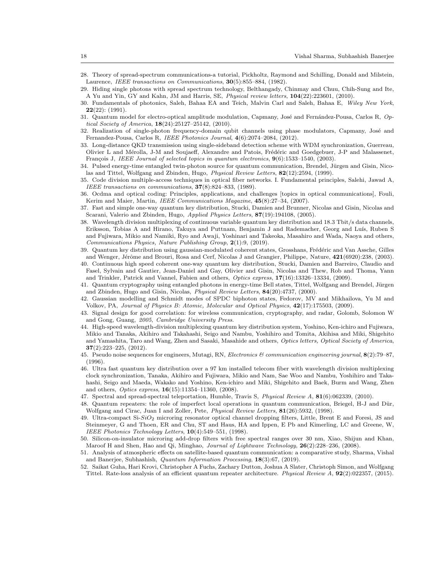- 28. Theory of spread-spectrum communications-a tutorial, Pickholtz, Raymond and Schilling, Donald and Milstein, Laurence, *IEEE transactions on Communications*, 30(5):855–884, (1982).
- 29. Hiding single photons with spread spectrum technology, Belthangady, Chinmay and Chuu, Chih-Sung and Ite, A Yu and Yin, GY and Kahn, JM and Harris, SE, *Physical review letters*, 104(22):223601, (2010).
- 30. Fundamentals of photonics, Saleh, Bahaa EA and Teich, Malvin Carl and Saleh, Bahaa E, *Wiley New York*,  $22(22)$ : (1991).
- 31. Quantum model for electro-optical amplitude modulation, Capmany, José and Fernández-Pousa, Carlos R, Op*tical Society of America*, 18(24):25127–25142, (2010).
- 32. Realization of single-photon frequency-domain qubit channels using phase modulators, Capmany, José and Fernandez-Pousa, Carlos R, *IEEE Photonics Journal*, 4(6):2074–2084, (2012).
- 33. Long-distance QKD transmission using single-sideband detection scheme with WDM synchronization, Guerreau, Olivier L and Mérolla, J-M and Soujaeff, Alexandre and Patois, Frédéric and Goedgebuer, J-P and Malassenet, François J, *IEEE Journal of selected topics in quantum electronics*,  $9(6)$ :1533-1540, (2003).
- 34. Pulsed energy-time entangled twin-photon source for quantum communication, Brendel, Jürgen and Gisin, Nicolas and Tittel, Wolfgang and Zbinden, Hugo, *Physical Review Letters*, 82(12):2594, (1999).
- 35. Code division multiple-access techniques in optical fiber networks. I. Fundamental principles, Salehi, Jawad A, *IEEE transactions on communications*, 37(8):824–833, (1989).
- 36. Ocdma and optical coding: Principles, applications, and challenges [topics in optical communications], Fouli, Kerim and Maier, Martin, *IEEE Communications Magazine*, 45(8):27–34, (2007).
- 37. Fast and simple one-way quantum key distribution, Stucki, Damien and Brunner, Nicolas and Gisin, Nicolas and Scarani, Valerio and Zbinden, Hugo, *Applied Physics Letters*, 87(19):194108, (2005).
- 38. Wavelength division multiplexing of continuous variable quantum key distribution and 18.3 Tbit/s data channels, Eriksson, Tobias A and Hirano, Takuya and Puttnam, Benjamin J and Rademacher, Georg and Luís, Ruben S and Fujiwara, Mikio and Namiki, Ryo and Awaji, Yoshinari and Takeoka, Masahiro and Wada, Naoya and others, *Communications Physics, Nature Publishing Group*, 2(1):9, (2019).
- 39. Quantum key distribution using gaussian-modulated coherent states, Grosshans, Frédéric and Van Assche, Gilles and Wenger, Jérôme and Brouri, Rosa and Cerf, Nicolas J and Grangier, Philippe, Nature, 421(6920):238, (2003).
- 40. Continuous high speed coherent one-way quantum key distribution, Stucki, Damien and Barreiro, Claudio and Fasel, Sylvain and Gautier, Jean-Daniel and Gay, Olivier and Gisin, Nicolas and Thew, Rob and Thoma, Yann and Trinkler, Patrick and Vannel, Fabien and others, *Optics express*, 17(16):13326–13334, (2009).
- 41. Quantum cryptography using entangled photons in energy-time Bell states, Tittel, Wolfgang and Brendel, Jürgen and Zbinden, Hugo and Gisin, Nicolas, *Physical Review Letters*, 84(20):4737, (2000).
- 42. Gaussian modelling and Schmidt modes of SPDC biphoton states, Fedorov, MV and Mikhailova, Yu M and Volkov, PA, *Journal of Physics B: Atomic, Molecular and Optical Physics*, 42(17):175503, (2009).
- 43. Signal design for good correlation: for wireless communication, cryptography, and radar, Golomb, Solomon W and Gong, Guang, *2005*, *Cambridge University Press*.
- 44. High-speed wavelength-division multiplexing quantum key distribution system, Yoshino, Ken-ichiro and Fujiwara, Mikio and Tanaka, Akihiro and Takahashi, Seigo and Nambu, Yoshihiro and Tomita, Akihisa and Miki, Shigehito and Yamashita, Taro and Wang, Zhen and Sasaki, Masahide and others, *Optics letters, Optical Society of America*,  $37(2):223-225, (2012).$
- 45. Pseudo noise sequences for engineers, Mutagi, RN, *Electronics & communication engineering journal*, 8(2):79–87, (1996).
- 46. Ultra fast quantum key distribution over a 97 km installed telecom fiber with wavelength division multiplexing clock synchronization, Tanaka, Akihiro and Fujiwara, Mikio and Nam, Sae Woo and Nambu, Yoshihiro and Takahashi, Seigo and Maeda, Wakako and Yoshino, Ken-ichiro and Miki, Shigehito and Baek, Burm and Wang, Zhen and others, *Optics express*, 16(15):11354–11360, (2008).
- 47. Spectral and spread-spectral teleportation, Humble, Travis S, *Physical Review A*, 81(6):062339, (2010).
- 48. Quantum repeaters: the role of imperfect local operations in quantum communication, Briegel, H-J and Dür, Wolfgang and Cirac, Juan I and Zoller, Pete, *Physical Review Letters*, 81(26):5932, (1998).
- 49. Ultra-compact Si- $SiO<sub>2</sub>$  microring resonator optical channel dropping filters, Little, Brent E and Foresi, JS and Steinmeyer, G and Thoen, ER and Chu, ST and Haus, HA and Ippen, E Pb and Kimerling, LC and Greene, W, *IEEE Photonics Technology Letters*, 10(4):549–551, (1998).
- 50. Silicon-on-insulator microring add-drop filters with free spectral ranges over 30 nm, Xiao, Shijun and Khan, Maroof H and Shen, Hao and Qi, Minghao, *Journal of Lightwave Technology*, 26(2):228–236, (2008).
- 51. Analysis of atmospheric effects on satellite-based quantum communication: a comparative study, Sharma, Vishal and Banerjee, Subhashish, *Quantum Information Processing*, 18(3):67, (2019).
- 52. Saikat Guha, Hari Krovi, Christopher A Fuchs, Zachary Dutton, Joshua A Slater, Christoph Simon, and Wolfgang Tittel. Rate-loss analysis of an efficient quantum repeater architecture. *Physical Review A*, 92(2):022357, (2015).